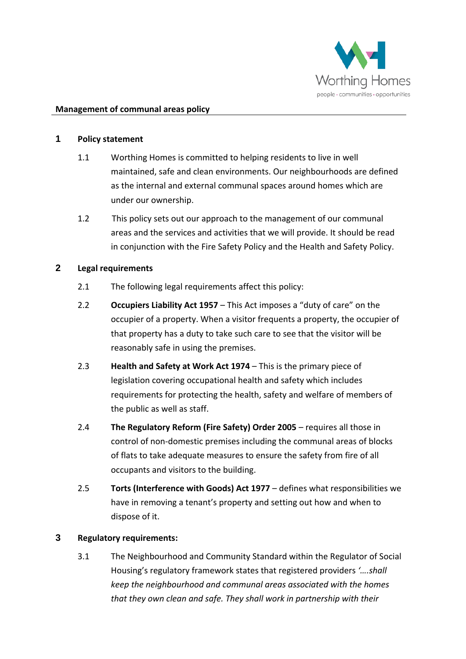

#### **Management of communal areas policy**

#### **1 Policy statement**

- 1.1 Worthing Homes is committed to helping residents to live in well maintained, safe and clean environments. Our neighbourhoods are defined as the internal and external communal spaces around homes which are under our ownership.
- 1.2 This policy sets out our approach to the management of our communal areas and the services and activities that we will provide. It should be read in conjunction with the Fire Safety Policy and the Health and Safety Policy.

### **2 Legal requirements**

- 2.1 The following legal requirements affect this policy:
- 2.2 **Occupiers Liability Act 1957**  This Act imposes a "duty of care" on the occupier of a property. When a visitor frequents a property, the occupier of that property has a duty to take such care to see that the visitor will be reasonably safe in using the premises.
- 2.3 **Health and Safety at Work Act 1974**  This is the primary piece of legislation covering occupational health and safety which includes requirements for protecting the health, safety and welfare of members of the public as well as staff.
- 2.4 **The Regulatory Reform (Fire Safety) Order 2005** requires all those in control of non-domestic premises including the communal areas of blocks of flats to take adequate measures to ensure the safety from fire of all occupants and visitors to the building.
- 2.5 **Torts (Interference with Goods) Act 1977** defines what responsibilities we have in removing a tenant's property and setting out how and when to dispose of it.

### **3 Regulatory requirements:**

3.1 The Neighbourhood and Community Standard within the Regulator of Social Housing's regulatory framework states that registered providers *'….shall keep the neighbourhood and communal areas associated with the homes that they own clean and safe. They shall work in partnership with their*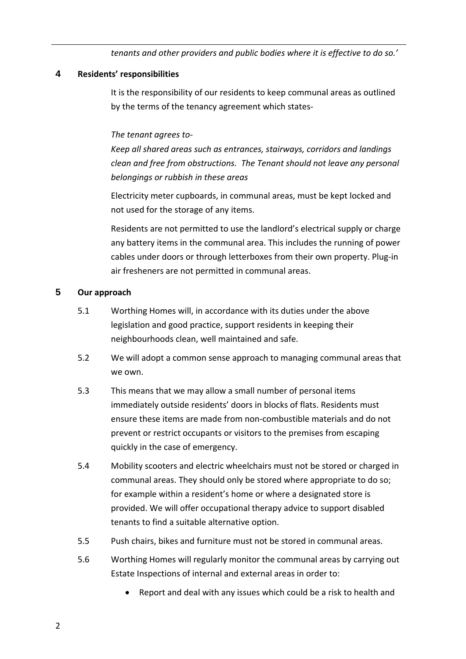*tenants and other providers and public bodies where it is effective to do so.'* 

# **4 Residents' responsibilities**

It is the responsibility of our residents to keep communal areas as outlined by the terms of the tenancy agreement which states-

## *The tenant agrees to-*

*Keep all shared areas such as entrances, stairways, corridors and landings clean and free from obstructions. The Tenant should not leave any personal belongings or rubbish in these areas*

Electricity meter cupboards, in communal areas, must be kept locked and not used for the storage of any items.

Residents are not permitted to use the landlord's electrical supply or charge any battery items in the communal area. This includes the running of power cables under doors or through letterboxes from their own property. Plug-in air fresheners are not permitted in communal areas.

## **5 Our approach**

- 5.1 Worthing Homes will, in accordance with its duties under the above legislation and good practice, support residents in keeping their neighbourhoods clean, well maintained and safe.
- 5.2 We will adopt a common sense approach to managing communal areas that we own.
- 5.3 This means that we may allow a small number of personal items immediately outside residents' doors in blocks of flats. Residents must ensure these items are made from non-combustible materials and do not prevent or restrict occupants or visitors to the premises from escaping quickly in the case of emergency.
- 5.4 Mobility scooters and electric wheelchairs must not be stored or charged in communal areas. They should only be stored where appropriate to do so; for example within a resident's home or where a designated store is provided. We will offer occupational therapy advice to support disabled tenants to find a suitable alternative option.
- 5.5 Push chairs, bikes and furniture must not be stored in communal areas.
- 5.6 Worthing Homes will regularly monitor the communal areas by carrying out Estate Inspections of internal and external areas in order to:
	- Report and deal with any issues which could be a risk to health and